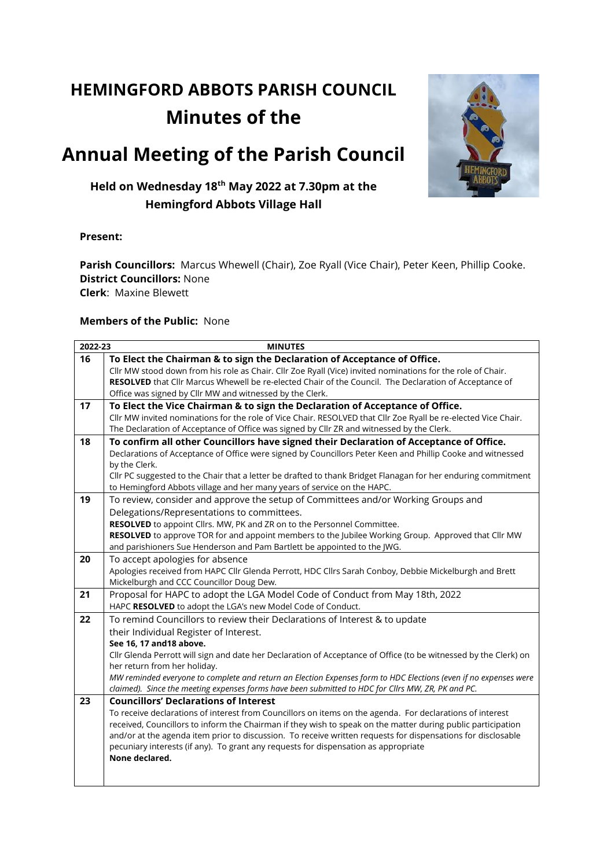# **HEMINGFORD ABBOTS PARISH COUNCIL Minutes of the**

## **Annual Meeting of the Parish Council**



## **Held on Wednesday 18th May 2022 at 7.30pm at the Hemingford Abbots Village Hall**

#### **Present:**

**Parish Councillors:** Marcus Whewell (Chair), Zoe Ryall (Vice Chair), Peter Keen, Phillip Cooke. **District Councillors:** None **Clerk**: Maxine Blewett

#### **Members of the Public:** None

| 16<br>To Elect the Chairman & to sign the Declaration of Acceptance of Office.<br>Cllr MW stood down from his role as Chair. Cllr Zoe Ryall (Vice) invited nominations for the role of Chair.<br>RESOLVED that Cllr Marcus Whewell be re-elected Chair of the Council. The Declaration of Acceptance of<br>Office was signed by Cllr MW and witnessed by the Clerk.<br>17<br>To Elect the Vice Chairman & to sign the Declaration of Acceptance of Office.<br>Cllr MW invited nominations for the role of Vice Chair. RESOLVED that Cllr Zoe Ryall be re-elected Vice Chair.<br>The Declaration of Acceptance of Office was signed by Cllr ZR and witnessed by the Clerk.<br>To confirm all other Councillors have signed their Declaration of Acceptance of Office.<br>18<br>Declarations of Acceptance of Office were signed by Councillors Peter Keen and Phillip Cooke and witnessed<br>by the Clerk.<br>Cllr PC suggested to the Chair that a letter be drafted to thank Bridget Flanagan for her enduring commitment<br>to Hemingford Abbots village and her many years of service on the HAPC.<br>To review, consider and approve the setup of Committees and/or Working Groups and<br>19<br>Delegations/Representations to committees.<br>RESOLVED to appoint Cllrs. MW, PK and ZR on to the Personnel Committee.<br>RESOLVED to approve TOR for and appoint members to the Jubilee Working Group. Approved that Cllr MW<br>and parishioners Sue Henderson and Pam Bartlett be appointed to the JWG.<br>20 |
|--------------------------------------------------------------------------------------------------------------------------------------------------------------------------------------------------------------------------------------------------------------------------------------------------------------------------------------------------------------------------------------------------------------------------------------------------------------------------------------------------------------------------------------------------------------------------------------------------------------------------------------------------------------------------------------------------------------------------------------------------------------------------------------------------------------------------------------------------------------------------------------------------------------------------------------------------------------------------------------------------------------------------------------------------------------------------------------------------------------------------------------------------------------------------------------------------------------------------------------------------------------------------------------------------------------------------------------------------------------------------------------------------------------------------------------------------------------------------------------------------------------------|
|                                                                                                                                                                                                                                                                                                                                                                                                                                                                                                                                                                                                                                                                                                                                                                                                                                                                                                                                                                                                                                                                                                                                                                                                                                                                                                                                                                                                                                                                                                                    |
|                                                                                                                                                                                                                                                                                                                                                                                                                                                                                                                                                                                                                                                                                                                                                                                                                                                                                                                                                                                                                                                                                                                                                                                                                                                                                                                                                                                                                                                                                                                    |
|                                                                                                                                                                                                                                                                                                                                                                                                                                                                                                                                                                                                                                                                                                                                                                                                                                                                                                                                                                                                                                                                                                                                                                                                                                                                                                                                                                                                                                                                                                                    |
|                                                                                                                                                                                                                                                                                                                                                                                                                                                                                                                                                                                                                                                                                                                                                                                                                                                                                                                                                                                                                                                                                                                                                                                                                                                                                                                                                                                                                                                                                                                    |
|                                                                                                                                                                                                                                                                                                                                                                                                                                                                                                                                                                                                                                                                                                                                                                                                                                                                                                                                                                                                                                                                                                                                                                                                                                                                                                                                                                                                                                                                                                                    |
|                                                                                                                                                                                                                                                                                                                                                                                                                                                                                                                                                                                                                                                                                                                                                                                                                                                                                                                                                                                                                                                                                                                                                                                                                                                                                                                                                                                                                                                                                                                    |
|                                                                                                                                                                                                                                                                                                                                                                                                                                                                                                                                                                                                                                                                                                                                                                                                                                                                                                                                                                                                                                                                                                                                                                                                                                                                                                                                                                                                                                                                                                                    |
|                                                                                                                                                                                                                                                                                                                                                                                                                                                                                                                                                                                                                                                                                                                                                                                                                                                                                                                                                                                                                                                                                                                                                                                                                                                                                                                                                                                                                                                                                                                    |
|                                                                                                                                                                                                                                                                                                                                                                                                                                                                                                                                                                                                                                                                                                                                                                                                                                                                                                                                                                                                                                                                                                                                                                                                                                                                                                                                                                                                                                                                                                                    |
|                                                                                                                                                                                                                                                                                                                                                                                                                                                                                                                                                                                                                                                                                                                                                                                                                                                                                                                                                                                                                                                                                                                                                                                                                                                                                                                                                                                                                                                                                                                    |
|                                                                                                                                                                                                                                                                                                                                                                                                                                                                                                                                                                                                                                                                                                                                                                                                                                                                                                                                                                                                                                                                                                                                                                                                                                                                                                                                                                                                                                                                                                                    |
|                                                                                                                                                                                                                                                                                                                                                                                                                                                                                                                                                                                                                                                                                                                                                                                                                                                                                                                                                                                                                                                                                                                                                                                                                                                                                                                                                                                                                                                                                                                    |
|                                                                                                                                                                                                                                                                                                                                                                                                                                                                                                                                                                                                                                                                                                                                                                                                                                                                                                                                                                                                                                                                                                                                                                                                                                                                                                                                                                                                                                                                                                                    |
|                                                                                                                                                                                                                                                                                                                                                                                                                                                                                                                                                                                                                                                                                                                                                                                                                                                                                                                                                                                                                                                                                                                                                                                                                                                                                                                                                                                                                                                                                                                    |
|                                                                                                                                                                                                                                                                                                                                                                                                                                                                                                                                                                                                                                                                                                                                                                                                                                                                                                                                                                                                                                                                                                                                                                                                                                                                                                                                                                                                                                                                                                                    |
|                                                                                                                                                                                                                                                                                                                                                                                                                                                                                                                                                                                                                                                                                                                                                                                                                                                                                                                                                                                                                                                                                                                                                                                                                                                                                                                                                                                                                                                                                                                    |
|                                                                                                                                                                                                                                                                                                                                                                                                                                                                                                                                                                                                                                                                                                                                                                                                                                                                                                                                                                                                                                                                                                                                                                                                                                                                                                                                                                                                                                                                                                                    |
| To accept apologies for absence                                                                                                                                                                                                                                                                                                                                                                                                                                                                                                                                                                                                                                                                                                                                                                                                                                                                                                                                                                                                                                                                                                                                                                                                                                                                                                                                                                                                                                                                                    |
| Apologies received from HAPC Cllr Glenda Perrott, HDC Cllrs Sarah Conboy, Debbie Mickelburgh and Brett                                                                                                                                                                                                                                                                                                                                                                                                                                                                                                                                                                                                                                                                                                                                                                                                                                                                                                                                                                                                                                                                                                                                                                                                                                                                                                                                                                                                             |
| Mickelburgh and CCC Councillor Doug Dew.                                                                                                                                                                                                                                                                                                                                                                                                                                                                                                                                                                                                                                                                                                                                                                                                                                                                                                                                                                                                                                                                                                                                                                                                                                                                                                                                                                                                                                                                           |
| Proposal for HAPC to adopt the LGA Model Code of Conduct from May 18th, 2022<br>21                                                                                                                                                                                                                                                                                                                                                                                                                                                                                                                                                                                                                                                                                                                                                                                                                                                                                                                                                                                                                                                                                                                                                                                                                                                                                                                                                                                                                                 |
| HAPC RESOLVED to adopt the LGA's new Model Code of Conduct.                                                                                                                                                                                                                                                                                                                                                                                                                                                                                                                                                                                                                                                                                                                                                                                                                                                                                                                                                                                                                                                                                                                                                                                                                                                                                                                                                                                                                                                        |
| 22<br>To remind Councillors to review their Declarations of Interest & to update                                                                                                                                                                                                                                                                                                                                                                                                                                                                                                                                                                                                                                                                                                                                                                                                                                                                                                                                                                                                                                                                                                                                                                                                                                                                                                                                                                                                                                   |
| their Individual Register of Interest.                                                                                                                                                                                                                                                                                                                                                                                                                                                                                                                                                                                                                                                                                                                                                                                                                                                                                                                                                                                                                                                                                                                                                                                                                                                                                                                                                                                                                                                                             |
| See 16, 17 and 18 above.                                                                                                                                                                                                                                                                                                                                                                                                                                                                                                                                                                                                                                                                                                                                                                                                                                                                                                                                                                                                                                                                                                                                                                                                                                                                                                                                                                                                                                                                                           |
| Cllr Glenda Perrott will sign and date her Declaration of Acceptance of Office (to be witnessed by the Clerk) on                                                                                                                                                                                                                                                                                                                                                                                                                                                                                                                                                                                                                                                                                                                                                                                                                                                                                                                                                                                                                                                                                                                                                                                                                                                                                                                                                                                                   |
| her return from her holiday.                                                                                                                                                                                                                                                                                                                                                                                                                                                                                                                                                                                                                                                                                                                                                                                                                                                                                                                                                                                                                                                                                                                                                                                                                                                                                                                                                                                                                                                                                       |
| MW reminded everyone to complete and return an Election Expenses form to HDC Elections (even if no expenses were                                                                                                                                                                                                                                                                                                                                                                                                                                                                                                                                                                                                                                                                                                                                                                                                                                                                                                                                                                                                                                                                                                                                                                                                                                                                                                                                                                                                   |
| claimed). Since the meeting expenses forms have been submitted to HDC for Cllrs MW, ZR, PK and PC.                                                                                                                                                                                                                                                                                                                                                                                                                                                                                                                                                                                                                                                                                                                                                                                                                                                                                                                                                                                                                                                                                                                                                                                                                                                                                                                                                                                                                 |
| <b>Councillors' Declarations of Interest</b><br>23                                                                                                                                                                                                                                                                                                                                                                                                                                                                                                                                                                                                                                                                                                                                                                                                                                                                                                                                                                                                                                                                                                                                                                                                                                                                                                                                                                                                                                                                 |
| To receive declarations of interest from Councillors on items on the agenda. For declarations of interest                                                                                                                                                                                                                                                                                                                                                                                                                                                                                                                                                                                                                                                                                                                                                                                                                                                                                                                                                                                                                                                                                                                                                                                                                                                                                                                                                                                                          |
| received, Councillors to inform the Chairman if they wish to speak on the matter during public participation                                                                                                                                                                                                                                                                                                                                                                                                                                                                                                                                                                                                                                                                                                                                                                                                                                                                                                                                                                                                                                                                                                                                                                                                                                                                                                                                                                                                       |
| and/or at the agenda item prior to discussion. To receive written requests for dispensations for disclosable                                                                                                                                                                                                                                                                                                                                                                                                                                                                                                                                                                                                                                                                                                                                                                                                                                                                                                                                                                                                                                                                                                                                                                                                                                                                                                                                                                                                       |
| pecuniary interests (if any). To grant any requests for dispensation as appropriate                                                                                                                                                                                                                                                                                                                                                                                                                                                                                                                                                                                                                                                                                                                                                                                                                                                                                                                                                                                                                                                                                                                                                                                                                                                                                                                                                                                                                                |
| None declared.                                                                                                                                                                                                                                                                                                                                                                                                                                                                                                                                                                                                                                                                                                                                                                                                                                                                                                                                                                                                                                                                                                                                                                                                                                                                                                                                                                                                                                                                                                     |
|                                                                                                                                                                                                                                                                                                                                                                                                                                                                                                                                                                                                                                                                                                                                                                                                                                                                                                                                                                                                                                                                                                                                                                                                                                                                                                                                                                                                                                                                                                                    |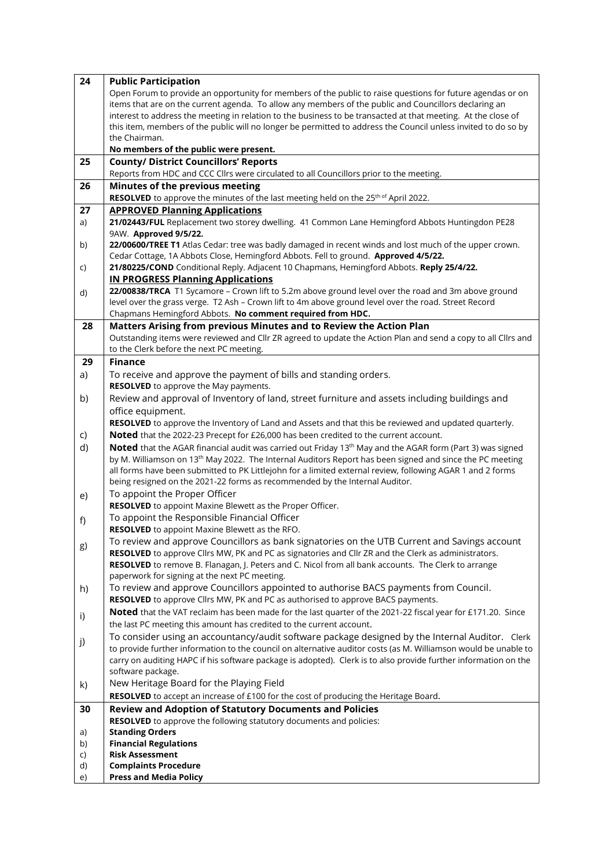| 24 | <b>Public Participation</b>                                                                                          |  |  |  |  |  |  |
|----|----------------------------------------------------------------------------------------------------------------------|--|--|--|--|--|--|
|    | Open Forum to provide an opportunity for members of the public to raise questions for future agendas or on           |  |  |  |  |  |  |
|    | items that are on the current agenda. To allow any members of the public and Councillors declaring an                |  |  |  |  |  |  |
|    | interest to address the meeting in relation to the business to be transacted at that meeting. At the close of        |  |  |  |  |  |  |
|    | this item, members of the public will no longer be permitted to address the Council unless invited to do so by       |  |  |  |  |  |  |
|    | the Chairman.                                                                                                        |  |  |  |  |  |  |
|    | No members of the public were present.                                                                               |  |  |  |  |  |  |
| 25 | <b>County/ District Councillors' Reports</b>                                                                         |  |  |  |  |  |  |
|    | Reports from HDC and CCC Cllrs were circulated to all Councillors prior to the meeting.                              |  |  |  |  |  |  |
| 26 | Minutes of the previous meeting                                                                                      |  |  |  |  |  |  |
|    | RESOLVED to approve the minutes of the last meeting held on the 25 <sup>th of</sup> April 2022.                      |  |  |  |  |  |  |
| 27 | <b>APPROVED Planning Applications</b>                                                                                |  |  |  |  |  |  |
| a) | 21/02443/FUL Replacement two storey dwelling. 41 Common Lane Hemingford Abbots Huntingdon PE28                       |  |  |  |  |  |  |
|    | 9AW. Approved 9/5/22.                                                                                                |  |  |  |  |  |  |
| b) | 22/00600/TREE T1 Atlas Cedar: tree was badly damaged in recent winds and lost much of the upper crown.               |  |  |  |  |  |  |
|    | Cedar Cottage, 1A Abbots Close, Hemingford Abbots. Fell to ground. Approved 4/5/22.                                  |  |  |  |  |  |  |
| C) | 21/80225/COND Conditional Reply. Adjacent 10 Chapmans, Hemingford Abbots. Reply 25/4/22.                             |  |  |  |  |  |  |
|    | <b>IN PROGRESS Planning Applications</b>                                                                             |  |  |  |  |  |  |
|    | 22/00838/TRCA T1 Sycamore - Crown lift to 5.2m above ground level over the road and 3m above ground                  |  |  |  |  |  |  |
| d) | level over the grass verge. T2 Ash - Crown lift to 4m above ground level over the road. Street Record                |  |  |  |  |  |  |
|    | Chapmans Hemingford Abbots. No comment required from HDC.                                                            |  |  |  |  |  |  |
| 28 | Matters Arising from previous Minutes and to Review the Action Plan                                                  |  |  |  |  |  |  |
|    | Outstanding items were reviewed and Cllr ZR agreed to update the Action Plan and send a copy to all Cllrs and        |  |  |  |  |  |  |
|    | to the Clerk before the next PC meeting.                                                                             |  |  |  |  |  |  |
| 29 | <b>Finance</b>                                                                                                       |  |  |  |  |  |  |
|    |                                                                                                                      |  |  |  |  |  |  |
| a) | To receive and approve the payment of bills and standing orders.                                                     |  |  |  |  |  |  |
|    | <b>RESOLVED</b> to approve the May payments.                                                                         |  |  |  |  |  |  |
| b) | Review and approval of Inventory of land, street furniture and assets including buildings and                        |  |  |  |  |  |  |
|    | office equipment.                                                                                                    |  |  |  |  |  |  |
|    | RESOLVED to approve the Inventory of Land and Assets and that this be reviewed and updated quarterly.                |  |  |  |  |  |  |
| C) | Noted that the 2022-23 Precept for £26,000 has been credited to the current account.                                 |  |  |  |  |  |  |
| d) | Noted that the AGAR financial audit was carried out Friday 13th May and the AGAR form (Part 3) was signed            |  |  |  |  |  |  |
|    | by M. Williamson on 13 <sup>th</sup> May 2022. The Internal Auditors Report has been signed and since the PC meeting |  |  |  |  |  |  |
|    | all forms have been submitted to PK Littlejohn for a limited external review, following AGAR 1 and 2 forms           |  |  |  |  |  |  |
|    | being resigned on the 2021-22 forms as recommended by the Internal Auditor.                                          |  |  |  |  |  |  |
| e) | To appoint the Proper Officer                                                                                        |  |  |  |  |  |  |
|    | RESOLVED to appoint Maxine Blewett as the Proper Officer.                                                            |  |  |  |  |  |  |
| f) | To appoint the Responsible Financial Officer                                                                         |  |  |  |  |  |  |
|    | <b>RESOLVED</b> to appoint Maxine Blewett as the RFO.                                                                |  |  |  |  |  |  |
| g) | To review and approve Councillors as bank signatories on the UTB Current and Savings account                         |  |  |  |  |  |  |
|    | RESOLVED to approve Cllrs MW, PK and PC as signatories and Cllr ZR and the Clerk as administrators.                  |  |  |  |  |  |  |
|    | RESOLVED to remove B. Flanagan, J. Peters and C. Nicol from all bank accounts. The Clerk to arrange                  |  |  |  |  |  |  |
|    | paperwork for signing at the next PC meeting.                                                                        |  |  |  |  |  |  |
| h) | To review and approve Councillors appointed to authorise BACS payments from Council.                                 |  |  |  |  |  |  |
|    | RESOLVED to approve Cllrs MW, PK and PC as authorised to approve BACS payments.                                      |  |  |  |  |  |  |
| i) | Noted that the VAT reclaim has been made for the last quarter of the 2021-22 fiscal year for £171.20. Since          |  |  |  |  |  |  |
|    | the last PC meeting this amount has credited to the current account.                                                 |  |  |  |  |  |  |
| j) | To consider using an accountancy/audit software package designed by the Internal Auditor. Clerk                      |  |  |  |  |  |  |
|    | to provide further information to the council on alternative auditor costs (as M. Williamson would be unable to      |  |  |  |  |  |  |
|    | carry on auditing HAPC if his software package is adopted). Clerk is to also provide further information on the      |  |  |  |  |  |  |
|    | software package.                                                                                                    |  |  |  |  |  |  |
| k) | New Heritage Board for the Playing Field                                                                             |  |  |  |  |  |  |
|    | RESOLVED to accept an increase of £100 for the cost of producing the Heritage Board.                                 |  |  |  |  |  |  |
| 30 | <b>Review and Adoption of Statutory Documents and Policies</b>                                                       |  |  |  |  |  |  |
|    | RESOLVED to approve the following statutory documents and policies:                                                  |  |  |  |  |  |  |
| a) | <b>Standing Orders</b>                                                                                               |  |  |  |  |  |  |
| b) | <b>Financial Regulations</b>                                                                                         |  |  |  |  |  |  |
| C) | <b>Risk Assessment</b>                                                                                               |  |  |  |  |  |  |
| d) | <b>Complaints Procedure</b>                                                                                          |  |  |  |  |  |  |
| e) | <b>Press and Media Policy</b>                                                                                        |  |  |  |  |  |  |